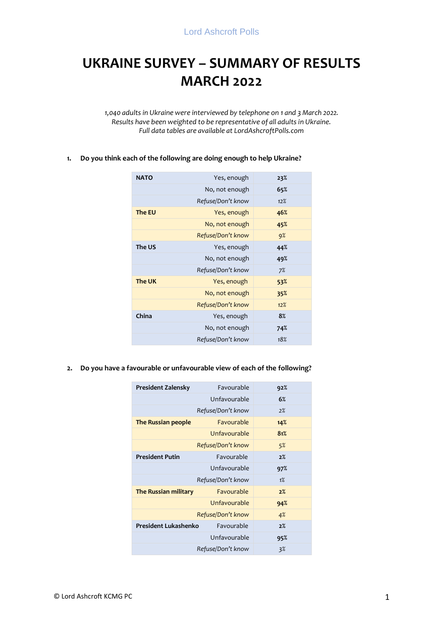# **UKRAINE SURVEY – SUMMARY OF RESULTS MARCH 2022**

*1,040 adults in Ukraine were interviewed by telephone on 1 and 3 March 2022. Results have been weighted to be representative of all adults in Ukraine. Full data tables are available at LordAshcroftPolls.com*

| <b>NATO</b>   | Yes, enough       | 23% |
|---------------|-------------------|-----|
|               | No, not enough    | 65% |
|               | Refuse/Don't know | 12% |
| <b>The EU</b> | Yes, enough       | 46% |
|               | No, not enough    | 45% |
|               | Refuse/Don't know | 9%  |
| The US        | Yes, enough       | 44% |
|               | No, not enough    | 49% |
|               | Refuse/Don't know | 7%  |
| <b>The UK</b> | Yes, enough       | 53% |
|               | No, not enough    | 35% |
|               | Refuse/Don't know | 12% |
| China         | Yes, enough       | 8%  |
|               | No, not enough    | 74% |
|               | Refuse/Don't know | 18% |
|               |                   |     |

**1. Do you think each of the following are doing enough to help Ukraine?**

**2. Do you have a favourable or unfavourable view of each of the following?**

| <b>President Zalensky</b>   | Favourable        | 92% |
|-----------------------------|-------------------|-----|
|                             | Unfavourable      | 6%  |
|                             | Refuse/Don't know | 2%  |
| <b>The Russian people</b>   | Favourable        | 14% |
|                             | Unfavourable      | 81% |
|                             | Refuse/Don't know | 5%  |
| <b>President Putin</b>      | Favourable        | 2%  |
|                             | Unfavourable      | 97% |
|                             | Refuse/Don't know | 1%  |
| <b>The Russian military</b> | <b>Favourable</b> | 2%  |
|                             | Unfavourable      | 94% |
|                             | Refuse/Don't know | 4%  |
| President Lukashenko        | Favourable        | 2%  |
|                             | Unfavourable      | 95% |
|                             | Refuse/Don't know | 3%  |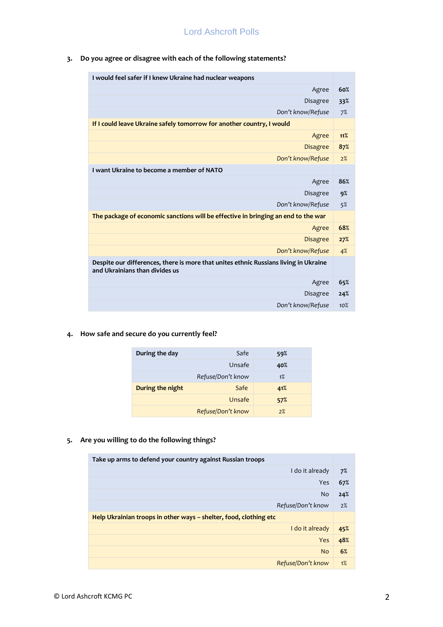### **3. Do you agree or disagree with each of the following statements?**

| I would feel safer if I knew Ukraine had nuclear weapons                                                               |     |
|------------------------------------------------------------------------------------------------------------------------|-----|
| Agree                                                                                                                  | 60% |
| <b>Disagree</b>                                                                                                        | 33% |
| Don't know/Refuse                                                                                                      | 7%  |
| If I could leave Ukraine safely tomorrow for another country, I would                                                  |     |
| Agree                                                                                                                  | 11% |
| <b>Disagree</b>                                                                                                        | 87% |
| Don't know/Refuse                                                                                                      | 2%  |
| I want Ukraine to become a member of NATO                                                                              |     |
| Agree                                                                                                                  | 86% |
| <b>Disagree</b>                                                                                                        | 9%  |
| Don't know/Refuse                                                                                                      | 5%  |
| The package of economic sanctions will be effective in bringing an end to the war                                      |     |
| Agree                                                                                                                  | 68% |
| <b>Disagree</b>                                                                                                        | 27% |
| Don't know/Refuse                                                                                                      | 4%  |
| Despite our differences, there is more that unites ethnic Russians living in Ukraine<br>and Ukrainians than divides us |     |
| Agree                                                                                                                  | 65% |
| <b>Disagree</b>                                                                                                        | 24% |
| Don't know/Refuse                                                                                                      | 10% |

## **4. How safe and secure do you currently feel?**

| During the day   | Safe              | 59% |
|------------------|-------------------|-----|
|                  | Unsafe            | 40% |
|                  | Refuse/Don't know | 1%  |
| During the night | Safe              | 41% |
|                  | Unsafe            | 57% |
|                  | Refuse/Don't know | 2%  |

### **5. Are you willing to do the following things?**

| Take up arms to defend your country against Russian troops        |     |
|-------------------------------------------------------------------|-----|
| I do it already                                                   | 7%  |
| Yes                                                               | 67% |
| N <sub>o</sub>                                                    | 24% |
| Refuse/Don't know                                                 | 2%  |
| Help Ukrainian troops in other ways – shelter, food, clothing etc |     |
| I do it already                                                   | 45% |
| Yes                                                               | 48% |
| <b>No</b>                                                         | 6%  |
| Refuse/Don't know                                                 | 1%  |